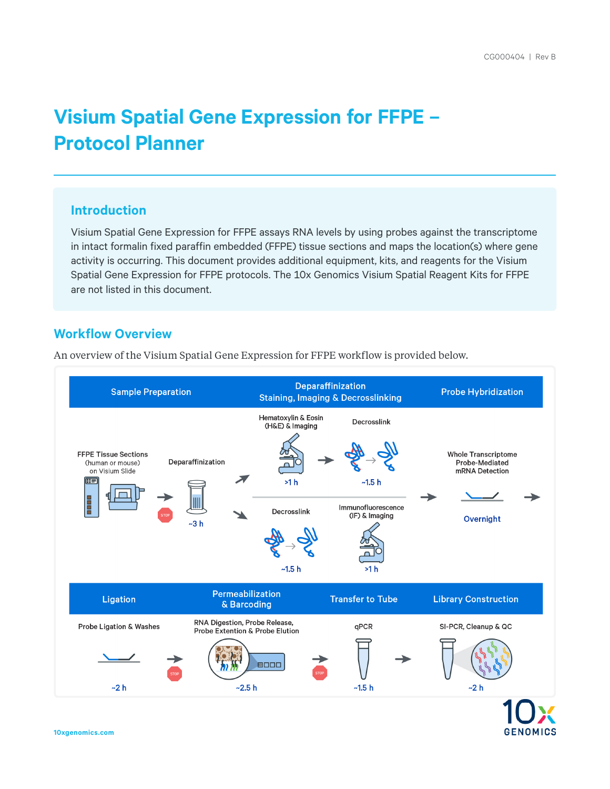# **Visium Spatial Gene Expression for FFPE – Protocol Planner**

## **Introduction**

Visium Spatial Gene Expression for FFPE assays RNA levels by using probes against the transcriptome in intact formalin fixed paraffin embedded (FFPE) tissue sections and maps the location(s) where gene activity is occurring. This document provides additional equipment, kits, and reagents for the Visium Spatial Gene Expression for FFPE protocols. The 10x Genomics Visium Spatial Reagent Kits for FFPE are not listed in this document.

## **Workflow Overview**

An overview of the Visium Spatial Gene Expression for FFPE workflow is provided below.



**GENOMICS**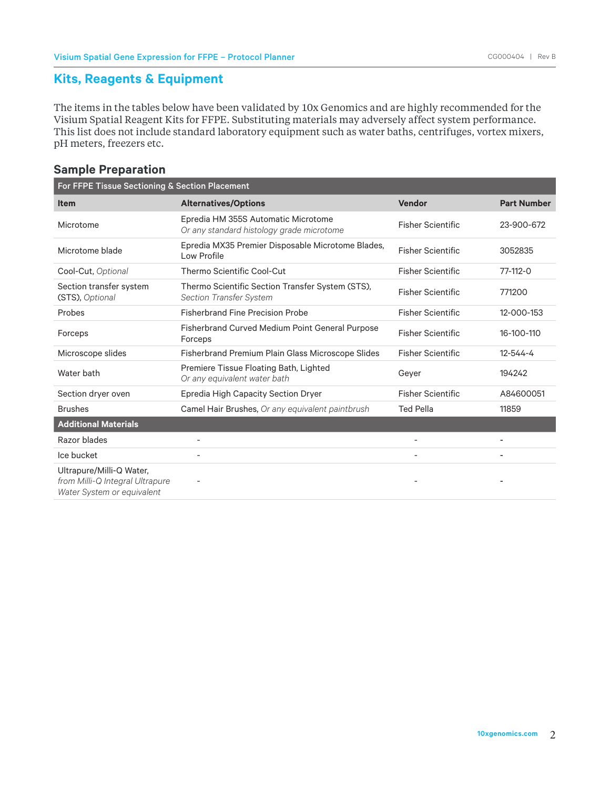## **Kits, Reagents & Equipment**

The items in the tables below have been validated by 10x Genomics and are highly recommended for the Visium Spatial Reagent Kits for FFPE. Substituting materials may adversely affect system performance. This list does not include standard laboratory equipment such as water baths, centrifuges, vortex mixers, pH meters, freezers etc.

## **Sample Preparation**

| For FFPE Tissue Sectioning & Section Placement                                            |                                                                                    |                          |                    |
|-------------------------------------------------------------------------------------------|------------------------------------------------------------------------------------|--------------------------|--------------------|
| <b>Item</b>                                                                               | <b>Alternatives/Options</b>                                                        | Vendor                   | <b>Part Number</b> |
| Microtome                                                                                 | Epredia HM 355S Automatic Microtome<br>Or any standard histology grade microtome   | <b>Fisher Scientific</b> | 23-900-672         |
| Microtome blade                                                                           | Epredia MX35 Premier Disposable Microtome Blades,<br>Low Profile                   | <b>Fisher Scientific</b> | 3052835            |
| Cool-Cut, Optional                                                                        | Thermo Scientific Cool-Cut                                                         | <b>Fisher Scientific</b> | $77-112-0$         |
| Section transfer system<br>(STS), Optional                                                | Thermo Scientific Section Transfer System (STS),<br><b>Section Transfer System</b> | <b>Fisher Scientific</b> | 771200             |
| Probes                                                                                    | <b>Fisherbrand Fine Precision Probe</b>                                            | <b>Fisher Scientific</b> | 12-000-153         |
| Forceps                                                                                   | Fisherbrand Curved Medium Point General Purpose<br>Forceps                         | <b>Fisher Scientific</b> | 16-100-110         |
| Microscope slides                                                                         | <b>Fisherbrand Premium Plain Glass Microscope Slides</b>                           | <b>Fisher Scientific</b> | $12 - 544 - 4$     |
| Water bath                                                                                | Premiere Tissue Floating Bath, Lighted<br>Or any equivalent water bath             | Gever                    | 194242             |
| Section dryer oven                                                                        | Epredia High Capacity Section Dryer                                                | <b>Fisher Scientific</b> | A84600051          |
| <b>Brushes</b>                                                                            | Camel Hair Brushes, Or any equivalent paintbrush                                   | <b>Ted Pella</b>         | 11859              |
| <b>Additional Materials</b>                                                               |                                                                                    |                          |                    |
| Razor blades                                                                              |                                                                                    |                          |                    |
| Ice bucket                                                                                | ۰                                                                                  |                          |                    |
| Ultrapure/Milli-Q Water,<br>from Milli-Q Integral Ultrapure<br>Water System or equivalent |                                                                                    |                          |                    |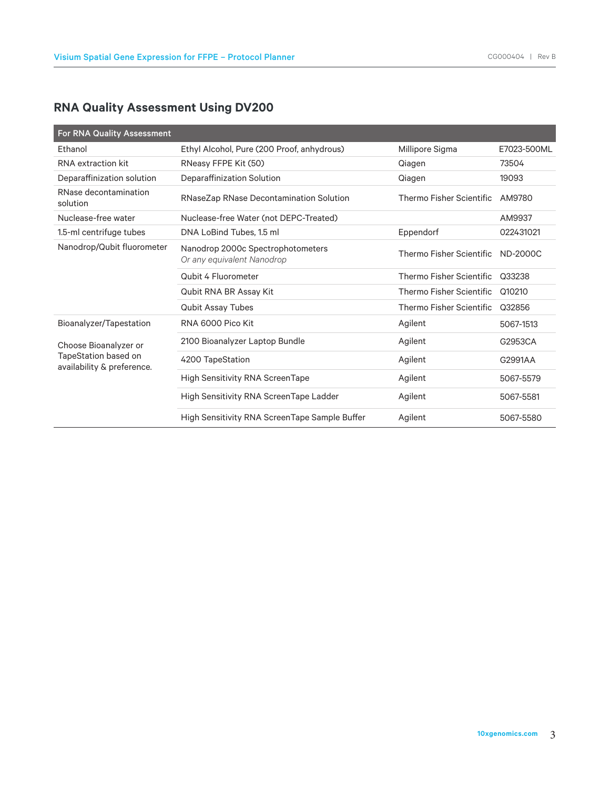# **RNA Quality Assessment Using DV200**

| <b>For RNA Quality Assessment</b>                                           |                                                                 |                          |                 |
|-----------------------------------------------------------------------------|-----------------------------------------------------------------|--------------------------|-----------------|
| Ethanol                                                                     | Ethyl Alcohol, Pure (200 Proof, anhydrous)                      | Millipore Sigma          | E7023-500ML     |
| RNA extraction kit                                                          | RNeasy FFPE Kit (50)                                            | Qiagen                   | 73504           |
| Deparaffinization solution                                                  | Deparaffinization Solution                                      | Qiagen                   | 19093           |
| RNase decontamination<br>solution                                           | RNaseZap RNase Decontamination Solution                         | Thermo Fisher Scientific | AM9780          |
| Nuclease-free water                                                         | Nuclease-free Water (not DEPC-Treated)                          |                          | AM9937          |
| 1.5-ml centrifuge tubes                                                     | DNA LoBind Tubes, 1.5 ml                                        | Eppendorf                | 022431021       |
| Nanodrop/Qubit fluorometer                                                  | Nanodrop 2000c Spectrophotometers<br>Or any equivalent Nanodrop | Thermo Fisher Scientific | <b>ND-2000C</b> |
|                                                                             | Qubit 4 Fluorometer                                             | Thermo Fisher Scientific | Q33238          |
|                                                                             | Qubit RNA BR Assay Kit                                          | Thermo Fisher Scientific | Q10210          |
|                                                                             | <b>Qubit Assay Tubes</b>                                        | Thermo Fisher Scientific | Q32856          |
| Bioanalyzer/Tapestation                                                     | RNA 6000 Pico Kit                                               | Agilent                  | 5067-1513       |
| Choose Bioanalyzer or<br>TapeStation based on<br>availability & preference. | 2100 Bioanalyzer Laptop Bundle                                  | Agilent                  | G2953CA         |
|                                                                             | 4200 TapeStation                                                | Agilent                  | G2991AA         |
|                                                                             | <b>High Sensitivity RNA ScreenTape</b>                          | Agilent                  | 5067-5579       |
|                                                                             | High Sensitivity RNA ScreenTape Ladder                          | Agilent                  | 5067-5581       |
|                                                                             | High Sensitivity RNA ScreenTape Sample Buffer                   | Agilent                  | 5067-5580       |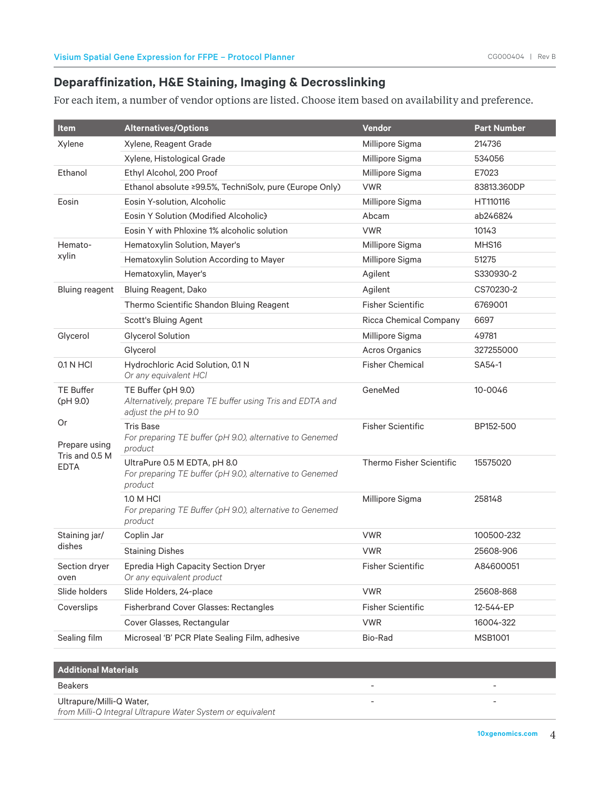## **Deparaffinization, H&E Staining, Imaging & Decrosslinking**

For each item, a number of vendor options are listed. Choose item based on availability and preference.

| Item                          | <b>Alternatives/Options</b>                                                                            | <b>Vendor</b>                 | <b>Part Number</b> |
|-------------------------------|--------------------------------------------------------------------------------------------------------|-------------------------------|--------------------|
| Xylene                        | Xylene, Reagent Grade                                                                                  | Millipore Sigma               | 214736             |
|                               | Xylene, Histological Grade                                                                             | Millipore Sigma               | 534056             |
| Ethanol                       | Ethyl Alcohol, 200 Proof                                                                               | Millipore Sigma               | E7023              |
|                               | Ethanol absolute ≥99.5%, TechniSolv, pure (Europe Only)                                                | <b>VWR</b>                    | 83813.360DP        |
| Eosin                         | Eosin Y-solution, Alcoholic                                                                            | Millipore Sigma               | HT110116           |
|                               | Eosin Y Solution (Modified Alcoholic)                                                                  | Abcam                         | ab246824           |
|                               | Eosin Y with Phloxine 1% alcoholic solution                                                            | <b>VWR</b>                    | 10143              |
| Hemato-                       | Hematoxylin Solution, Mayer's                                                                          | Millipore Sigma               | MHS16              |
| xylin                         | Hematoxylin Solution According to Mayer                                                                | Millipore Sigma               | 51275              |
|                               | Hematoxylin, Mayer's                                                                                   | Agilent                       | S330930-2          |
| <b>Bluing reagent</b>         | Bluing Reagent, Dako                                                                                   | Agilent                       | CS70230-2          |
|                               | Thermo Scientific Shandon Bluing Reagent                                                               | <b>Fisher Scientific</b>      | 6769001            |
|                               | Scott's Bluing Agent                                                                                   | <b>Ricca Chemical Company</b> | 6697               |
| Glycerol                      | <b>Glycerol Solution</b>                                                                               | Millipore Sigma               | 49781              |
|                               | Glycerol                                                                                               | <b>Acros Organics</b>         | 327255000          |
| 0.1 N HCI                     | Hydrochloric Acid Solution, 0.1 N<br>Or any equivalent HCl                                             | <b>Fisher Chemical</b>        | SA54-1             |
| <b>TE Buffer</b><br>(pH 9.0)  | TE Buffer (pH 9.0)<br>Alternatively, prepare TE buffer using Tris and EDTA and<br>adjust the pH to 9.0 | GeneMed                       | 10-0046            |
| Or<br>Prepare using           | <b>Tris Base</b><br>For preparing TE buffer (pH 9.0), alternative to Genemed<br>product                | <b>Fisher Scientific</b>      | BP152-500          |
| Tris and 0.5 M<br><b>EDTA</b> | UltraPure 0.5 M EDTA, pH 8.0<br>For preparing TE buffer (pH 9.0), alternative to Genemed<br>product    | Thermo Fisher Scientific      | 15575020           |
|                               | 1.0 M HCl<br>For preparing TE Buffer (pH 9.0), alternative to Genemed<br>product                       | Millipore Sigma               | 258148             |
| Staining jar/                 | Coplin Jar                                                                                             | <b>VWR</b>                    | 100500-232         |
| dishes                        | <b>Staining Dishes</b>                                                                                 | <b>VWR</b>                    | 25608-906          |
| Section dryer<br>oven         | Epredia High Capacity Section Dryer<br>Or any equivalent product                                       | <b>Fisher Scientific</b>      | A84600051          |
| Slide holders                 | Slide Holders, 24-place                                                                                | <b>VWR</b>                    | 25608-868          |
| Coverslips                    | Fisherbrand Cover Glasses: Rectangles                                                                  | <b>Fisher Scientific</b>      | 12-544-EP          |
|                               | Cover Glasses, Rectangular                                                                             | <b>VWR</b>                    | 16004-322          |
| Sealing film                  | Microseal 'B' PCR Plate Sealing Film, adhesive                                                         | Bio-Rad                       | <b>MSB1001</b>     |

**Additional Materials**

Beakers - -

#### Ultrapure/Milli-Q Water,

*from Milli-Q Integral Ultrapure Water System or equivalent*

- -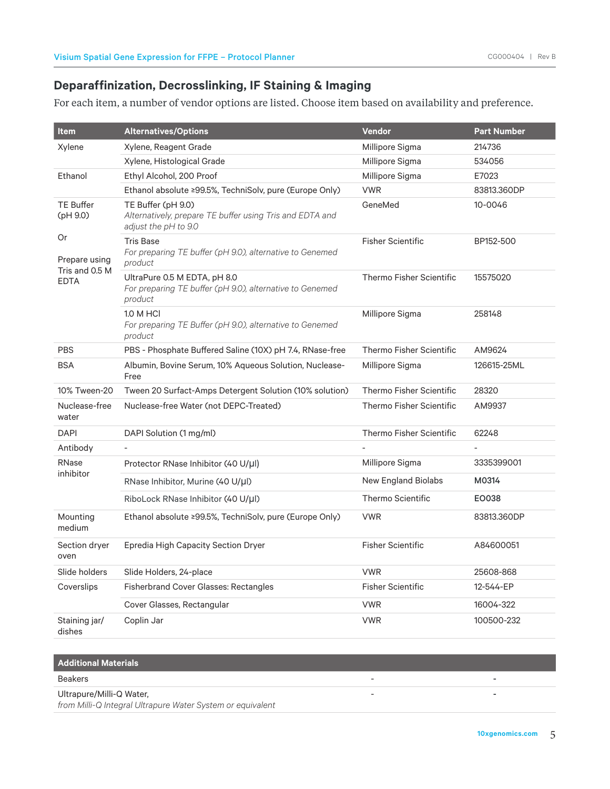## **Deparaffinization, Decrosslinking, IF Staining & Imaging**

For each item, a number of vendor options are listed. Choose item based on availability and preference.

| ltem                          | <b>Alternatives/Options</b>                                                                            | Vendor                     | <b>Part Number</b> |
|-------------------------------|--------------------------------------------------------------------------------------------------------|----------------------------|--------------------|
| Xylene                        | Xylene, Reagent Grade                                                                                  | Millipore Sigma            | 214736             |
|                               | Xylene, Histological Grade                                                                             | Millipore Sigma            | 534056             |
| Ethanol                       | Ethyl Alcohol, 200 Proof                                                                               | Millipore Sigma            | E7023              |
|                               | Ethanol absolute ≥99.5%, TechniSolv, pure (Europe Only)                                                | <b>VWR</b>                 | 83813.360DP        |
| <b>TE Buffer</b><br>(pH 9.0)  | TE Buffer (pH 9.0)<br>Alternatively, prepare TE buffer using Tris and EDTA and<br>adjust the pH to 9.0 | GeneMed                    | 10-0046            |
| <b>Or</b><br>Prepare using    | <b>Tris Base</b><br>For preparing TE buffer (pH 9.0), alternative to Genemed<br>product                | <b>Fisher Scientific</b>   | BP152-500          |
| Tris and 0.5 M<br><b>FDTA</b> | UltraPure 0.5 M EDTA, pH 8.0<br>For preparing TE buffer (pH 9.0), alternative to Genemed<br>product    | Thermo Fisher Scientific   | 15575020           |
|                               | 1.0 M HCI<br>For preparing TE Buffer (pH 9.0), alternative to Genemed<br>product                       | Millipore Sigma            | 258148             |
| <b>PBS</b>                    | PBS - Phosphate Buffered Saline (10X) pH 7.4, RNase-free                                               | Thermo Fisher Scientific   | AM9624             |
| <b>BSA</b>                    | Albumin, Bovine Serum, 10% Aqueous Solution, Nuclease-<br>Free                                         | Millipore Sigma            | 126615-25ML        |
| 10% Tween-20                  | Tween 20 Surfact-Amps Detergent Solution (10% solution)                                                | Thermo Fisher Scientific   | 28320              |
| Nuclease-free<br>water        | Nuclease-free Water (not DEPC-Treated)                                                                 | Thermo Fisher Scientific   | AM9937             |
| <b>DAPI</b>                   | DAPI Solution (1 mg/ml)                                                                                | Thermo Fisher Scientific   | 62248              |
| Antibody                      |                                                                                                        |                            |                    |
| <b>RNase</b>                  | Protector RNase Inhibitor (40 U/µl)                                                                    | Millipore Sigma            | 3335399001         |
| inhibitor                     | RNase Inhibitor, Murine (40 U/µl)                                                                      | <b>New England Biolabs</b> | M0314              |
|                               | RiboLock RNase Inhibitor (40 U/µl)                                                                     | Thermo Scientific          | EO038              |
| Mounting<br>medium            | Ethanol absolute ≥99.5%, TechniSolv, pure (Europe Only)                                                | <b>VWR</b>                 | 83813.360DP        |
| Section dryer<br>oven         | Epredia High Capacity Section Dryer                                                                    | <b>Fisher Scientific</b>   | A84600051          |
| Slide holders                 | Slide Holders, 24-place                                                                                | <b>VWR</b>                 | 25608-868          |
| Coverslips                    | <b>Fisherbrand Cover Glasses: Rectangles</b>                                                           | <b>Fisher Scientific</b>   | 12-544-EP          |
|                               | Cover Glasses, Rectangular                                                                             | <b>VWR</b>                 | 16004-322          |
| Staining jar/<br>dishes       | Coplin Jar                                                                                             | <b>VWR</b>                 | 100500-232         |

#### **Additional Materials** Beakers - - Ultrapure/Milli-Q Water, *from Milli-Q Integral Ultrapure Water System or equivalent* - -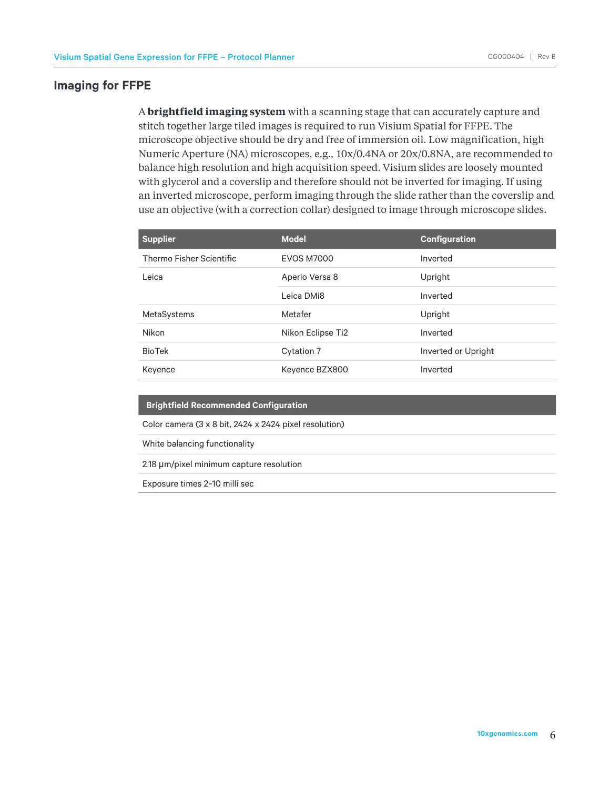#### **Imaging for FFPE**

A **brightfield imaging system** with a scanning stage that can accurately capture and stitch together large tiled images is required to run Visium Spatial for FFPE. The microscope objective should be dry and free of immersion oil. Low magnification, high Numeric Aperture (NA) microscopes, e.g., 10x/0.4NA or 20x/0.8NA, are recommended to balance high resolution and high acquisition speed. Visium slides are loosely mounted with glycerol and a coverslip and therefore should not be inverted for imaging. If using an inverted microscope, perform imaging through the slide rather than the coverslip and use an objective (with a correction collar) designed to image through microscope slides.

| <b>Supplier</b>          | <b>Model</b>      | <b>Configuration</b> |
|--------------------------|-------------------|----------------------|
| Thermo Fisher Scientific | <b>EVOS M7000</b> | Inverted             |
| Leica                    | Aperio Versa 8    | Upright              |
|                          | Leica DMi8        | Inverted             |
| MetaSystems              | Metafer           | Upright              |
| <b>Nikon</b>             | Nikon Eclipse Ti2 | Inverted             |
| <b>BioTek</b>            | Cytation 7        | Inverted or Upright  |
| Keyence                  | Keyence BZX800    | Inverted             |

| <b>Brightfield Recommended Configuration</b> |
|----------------------------------------------|
|----------------------------------------------|

Color camera (3 x 8 bit, 2424 x 2424 pixel resolution)

White balancing functionality

2.18  $\mu$ m/pixel minimum capture resolution

Exposure times 2-10 milli sec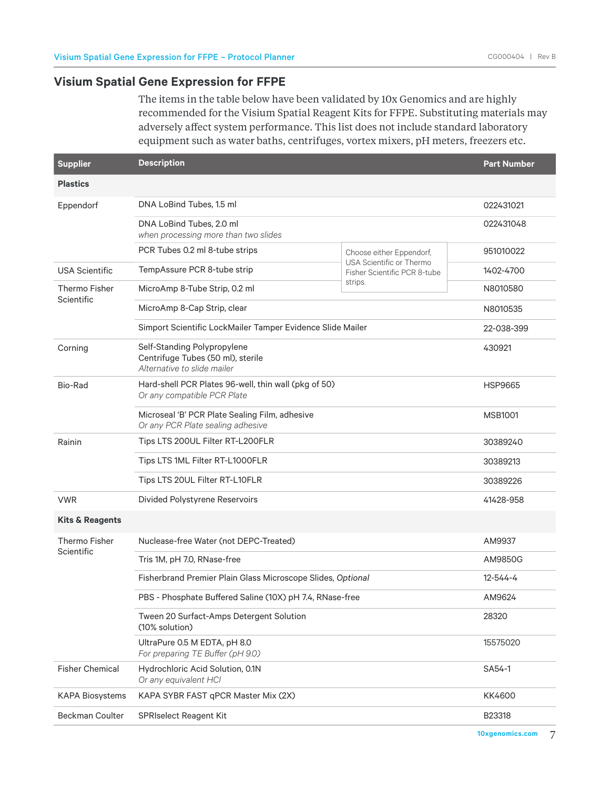## **Visium Spatial Gene Expression for FFPE**

The items in the table below have been validated by 10x Genomics and are highly recommended for the Visium Spatial Reagent Kits for FFPE. Substituting materials may adversely affect system performance. This list does not include standard laboratory equipment such as water baths, centrifuges, vortex mixers, pH meters, freezers etc.

| <b>Supplier</b>                    | <b>Description</b>                                                                              |                                                          | <b>Part Number</b> |
|------------------------------------|-------------------------------------------------------------------------------------------------|----------------------------------------------------------|--------------------|
| <b>Plastics</b>                    |                                                                                                 |                                                          |                    |
| Eppendorf                          | DNA LoBind Tubes, 1.5 ml                                                                        |                                                          | 022431021          |
|                                    | DNA LoBind Tubes, 2.0 ml<br>when processing more than two slides                                |                                                          | 022431048          |
|                                    | PCR Tubes 0.2 ml 8-tube strips                                                                  | Choose either Eppendorf,                                 | 951010022          |
| <b>USA Scientific</b>              | TempAssure PCR 8-tube strip                                                                     | USA Scientific or Thermo<br>Fisher Scientific PCR 8-tube | 1402-4700          |
| <b>Thermo Fisher</b><br>Scientific | MicroAmp 8-Tube Strip, 0.2 ml                                                                   | strips.                                                  | N8010580           |
|                                    | MicroAmp 8-Cap Strip, clear                                                                     |                                                          |                    |
|                                    | Simport Scientific LockMailer Tamper Evidence Slide Mailer                                      |                                                          | 22-038-399         |
| Corning                            | Self-Standing Polypropylene<br>Centrifuge Tubes (50 ml), sterile<br>Alternative to slide mailer |                                                          | 430921             |
| Bio-Rad                            | Hard-shell PCR Plates 96-well, thin wall (pkg of 50)<br>Or any compatible PCR Plate             |                                                          | <b>HSP9665</b>     |
|                                    | Microseal 'B' PCR Plate Sealing Film, adhesive<br>Or any PCR Plate sealing adhesive             |                                                          | <b>MSB1001</b>     |
| Rainin                             | Tips LTS 200UL Filter RT-L200FLR                                                                |                                                          | 30389240           |
|                                    | Tips LTS 1ML Filter RT-L1000FLR                                                                 |                                                          | 30389213           |
|                                    | Tips LTS 20UL Filter RT-L10FLR                                                                  |                                                          | 30389226           |
| <b>VWR</b>                         | Divided Polystyrene Reservoirs                                                                  |                                                          | 41428-958          |
| <b>Kits &amp; Reagents</b>         |                                                                                                 |                                                          |                    |
| <b>Thermo Fisher</b>               | Nuclease-free Water (not DEPC-Treated)                                                          |                                                          | AM9937             |
| Scientific                         | Tris 1M, pH 7.0, RNase-free                                                                     |                                                          | AM9850G            |
|                                    | Fisherbrand Premier Plain Glass Microscope Slides, Optional                                     |                                                          | $12 - 544 - 4$     |
|                                    | PBS - Phosphate Buffered Saline (10X) pH 7.4, RNase-free                                        |                                                          | AM9624             |
|                                    | Tween 20 Surfact-Amps Detergent Solution<br>(10% solution)                                      |                                                          | 28320              |
|                                    | UltraPure 0.5 M EDTA, pH 8.0<br>For preparing TE Buffer (pH 9.0)                                |                                                          | 15575020           |
| <b>Fisher Chemical</b>             | Hydrochloric Acid Solution, 0.1N<br>Or any equivalent HCl                                       |                                                          | SA54-1             |
| <b>KAPA Biosystems</b>             | KAPA SYBR FAST qPCR Master Mix (2X)                                                             |                                                          | KK4600             |
| <b>Beckman Coulter</b>             | <b>SPRIselect Reagent Kit</b>                                                                   |                                                          | B23318             |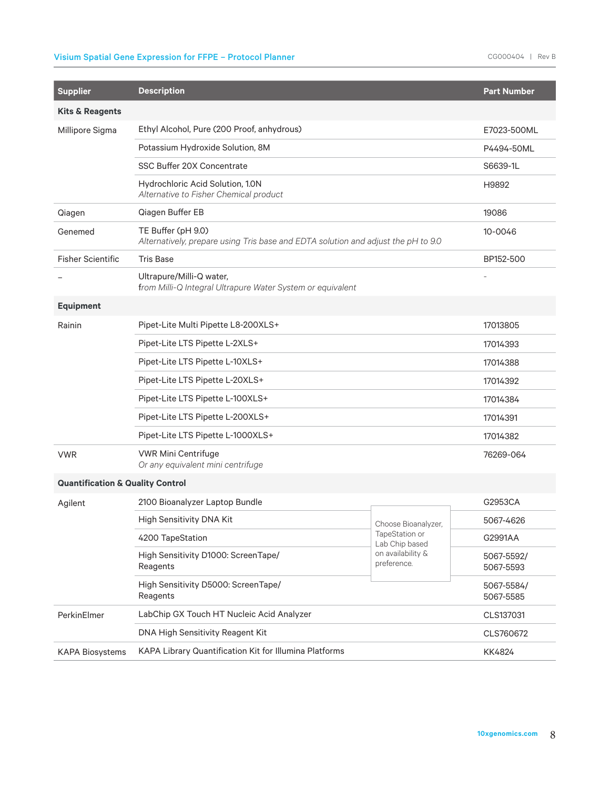## Visium Spatial Gene Expression for FFPE – Protocol Planner CG000404 | Rev B

| <b>Supplier</b>                             | <b>Description</b>                                                                                      |                                  | <b>Part Number</b>      |
|---------------------------------------------|---------------------------------------------------------------------------------------------------------|----------------------------------|-------------------------|
| <b>Kits &amp; Reagents</b>                  |                                                                                                         |                                  |                         |
| Millipore Sigma                             | Ethyl Alcohol, Pure (200 Proof, anhydrous)                                                              |                                  | E7023-500ML             |
|                                             | Potassium Hydroxide Solution, 8M                                                                        |                                  | P4494-50ML              |
|                                             | SSC Buffer 20X Concentrate                                                                              |                                  | S6639-1L                |
|                                             | Hydrochloric Acid Solution, 1.0N<br>Alternative to Fisher Chemical product                              |                                  | H9892                   |
| Qiagen                                      | Qiagen Buffer EB                                                                                        |                                  | 19086                   |
| Genemed                                     | TE Buffer (pH 9.0)<br>Alternatively, prepare using Tris base and EDTA solution and adjust the pH to 9.0 |                                  | 10-0046                 |
| <b>Fisher Scientific</b>                    | <b>Tris Base</b>                                                                                        |                                  | BP152-500               |
|                                             | Ultrapure/Milli-Q water,<br>from Milli-Q Integral Ultrapure Water System or equivalent                  |                                  |                         |
| <b>Equipment</b>                            |                                                                                                         |                                  |                         |
| Rainin                                      | Pipet-Lite Multi Pipette L8-200XLS+                                                                     |                                  | 17013805                |
|                                             | Pipet-Lite LTS Pipette L-2XLS+                                                                          |                                  | 17014393                |
|                                             | Pipet-Lite LTS Pipette L-10XLS+                                                                         |                                  | 17014388                |
|                                             | Pipet-Lite LTS Pipette L-20XLS+                                                                         |                                  | 17014392                |
|                                             | Pipet-Lite LTS Pipette L-100XLS+                                                                        |                                  | 17014384                |
|                                             | Pipet-Lite LTS Pipette L-200XLS+                                                                        |                                  | 17014391                |
|                                             | Pipet-Lite LTS Pipette L-1000XLS+                                                                       |                                  | 17014382                |
| <b>VWR</b>                                  | <b>VWR Mini Centrifuge</b><br>Or any equivalent mini centrifuge                                         |                                  | 76269-064               |
| <b>Quantification &amp; Quality Control</b> |                                                                                                         |                                  |                         |
| Agilent                                     | 2100 Bioanalyzer Laptop Bundle                                                                          |                                  | G2953CA                 |
|                                             | High Sensitivity DNA Kit                                                                                | Choose Bioanalyzer,              | 5067-4626               |
|                                             | 4200 TapeStation                                                                                        | TapeStation or<br>Lab Chip based | G2991AA                 |
|                                             | High Sensitivity D1000: ScreenTape/<br>Reagents                                                         | on availability &<br>preference. | 5067-5592/<br>5067-5593 |
|                                             | High Sensitivity D5000: ScreenTape/<br>Reagents                                                         |                                  | 5067-5584/<br>5067-5585 |
| PerkinElmer                                 | LabChip GX Touch HT Nucleic Acid Analyzer                                                               |                                  | CLS137031               |
| DNA High Sensitivity Reagent Kit            |                                                                                                         | CLS760672                        |                         |
| <b>KAPA Biosystems</b>                      | KAPA Library Quantification Kit for Illumina Platforms                                                  |                                  | KK4824                  |